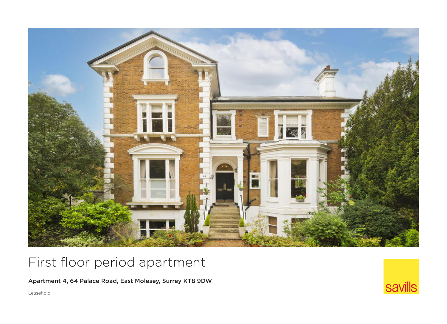

# First floor period apartment

Apartment 4, 64 Palace Road, East Molesey, Surrey KT8 9DW

Leasehold

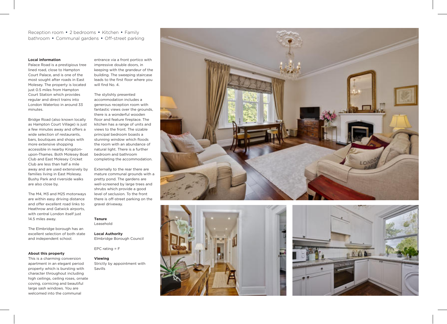Reception room • 2 bedrooms • Kitchen • Family bathroom • Communal gardens • Off-street parking

### **Local information**

Palace Road is a prestigious tree lined road, close to Hampton Court Palace, and is one of the most sought after roads in East Molesey. The property is located just 0.5 miles from Hampton Court Station which provides regular and direct trains into London Waterloo in around 33 minutes.

Bridge Road (also known locally as Hampton Court Village) is just a few minutes away and offers a wide selection of restaurants, bars, boutiques and shops with more extensive shopping accessible in nearby Kingstonupon-Thames. Both Molesey Boat Club and East Molesey Cricket Club are less than half a mile away and are used extensively by families living in East Molesey. Bushy Park and riverside walks are also close by.

The M4, M3 and M25 motorways are within easy driving distance and offer excellent road links to Heathrow and Gatwick airports, with central London itself just 14.5 miles away.

The Elmbridge borough has an excellent selection of both state and independent school.

## **About this property**

This is a charming conversion apartment in an elegant period property which is bursting with character throughout including high ceilings, ceiling roses, ornate coving, cornicing and beautiful large sash windows. You are welcomed into the communal

entrance via a front portico with impressive double doors, in keeping with the grandeur of the building. The sweeping staircase leads to the first floor where you will find No. 4.

The stylishly presented accommodation includes a generous reception room with fantastic views over the grounds, there is a wonderful wooden floor and feature fireplace. The kitchen has a range of units and views to the front. The sizable principal bedroom boasts a stunning window which floods the room with an abundance of natural light. There is a further bedroom and bathroom completing the accommodation.

Externally to the rear there are mature communal grounds with a pretty pond. The gardens are well-screened by large trees and shrubs which provide a good level of seclusion. To the front there is off-street parking on the gravel driveway.

### **Tenure**

Leasehold

**Local Authority** Elmbridge Borough Council

EPC rating = F

## **Viewing**

Strictly by appointment with Savills





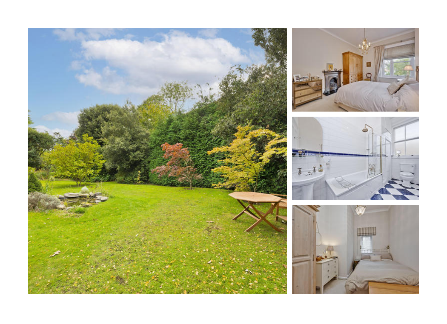